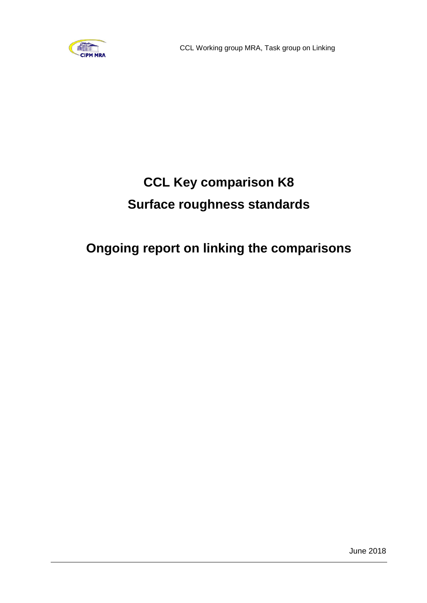

# **CCL Key comparison K8 Surface roughness standards**

## **Ongoing report on linking the comparisons**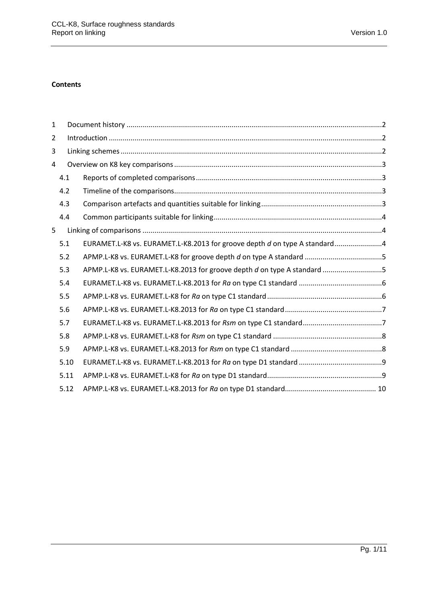#### **Contents**

| $\mathbf{1}$ |      |                                                                           |  |  |  |  |  |  |  |
|--------------|------|---------------------------------------------------------------------------|--|--|--|--|--|--|--|
| 2            |      |                                                                           |  |  |  |  |  |  |  |
| 3            |      |                                                                           |  |  |  |  |  |  |  |
| 4            |      |                                                                           |  |  |  |  |  |  |  |
|              | 4.1  |                                                                           |  |  |  |  |  |  |  |
|              | 4.2  |                                                                           |  |  |  |  |  |  |  |
|              | 4.3  |                                                                           |  |  |  |  |  |  |  |
|              | 4.4  |                                                                           |  |  |  |  |  |  |  |
| 5            |      |                                                                           |  |  |  |  |  |  |  |
|              | 5.1  | EURAMET.L-K8 vs. EURAMET.L-K8.2013 for groove depth d on type A standard4 |  |  |  |  |  |  |  |
|              | 5.2  |                                                                           |  |  |  |  |  |  |  |
|              | 5.3  | APMP.L-K8 vs. EURAMET.L-K8.2013 for groove depth d on type A standard 5   |  |  |  |  |  |  |  |
|              | 5.4  |                                                                           |  |  |  |  |  |  |  |
|              | 5.5  |                                                                           |  |  |  |  |  |  |  |
|              | 5.6  |                                                                           |  |  |  |  |  |  |  |
|              | 5.7  |                                                                           |  |  |  |  |  |  |  |
|              | 5.8  |                                                                           |  |  |  |  |  |  |  |
|              | 5.9  |                                                                           |  |  |  |  |  |  |  |
|              | 5.10 |                                                                           |  |  |  |  |  |  |  |
|              | 5.11 |                                                                           |  |  |  |  |  |  |  |
|              | 5.12 |                                                                           |  |  |  |  |  |  |  |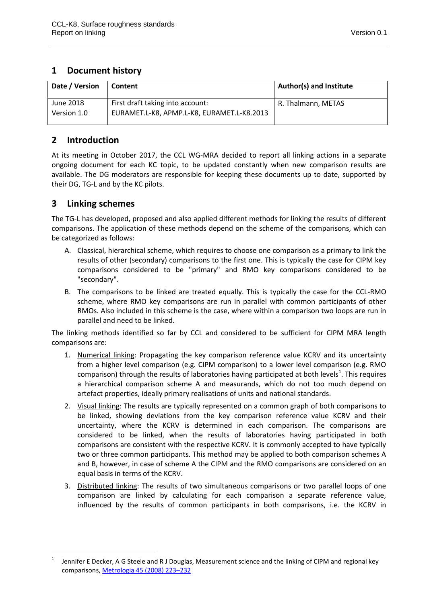#### <span id="page-2-0"></span>**1 Document history**

| Date / Version | <b>Content</b>                             | <b>Author(s) and Institute</b> |
|----------------|--------------------------------------------|--------------------------------|
| June 2018      | First draft taking into account:           | R. Thalmann, METAS             |
| Version 1.0    | EURAMET.L-K8, APMP.L-K8, EURAMET.L-K8.2013 |                                |

#### <span id="page-2-1"></span>**2 Introduction**

At its meeting in October 2017, the CCL WG-MRA decided to report all linking actions in a separate ongoing document for each KC topic, to be updated constantly when new comparison results are available. The DG moderators are responsible for keeping these documents up to date, supported by their DG, TG-L and by the KC pilots.

### <span id="page-2-2"></span>**3 Linking schemes**

**.** 

The TG-L has developed, proposed and also applied different methods for linking the results of different comparisons. The application of these methods depend on the scheme of the comparisons, which can be categorized as follows:

- A. Classical, hierarchical scheme, which requires to choose one comparison as a primary to link the results of other (secondary) comparisons to the first one. This is typically the case for CIPM key comparisons considered to be "primary" and RMO key comparisons considered to be "secondary".
- B. The comparisons to be linked are treated equally. This is typically the case for the CCL-RMO scheme, where RMO key comparisons are run in parallel with common participants of other RMOs. Also included in this scheme is the case, where within a comparison two loops are run in parallel and need to be linked.

The linking methods identified so far by CCL and considered to be sufficient for CIPM MRA length comparisons are:

- 1. Numerical linking: Propagating the key comparison reference value KCRV and its uncertainty from a higher level comparison (e.g. CIPM comparison) to a lower level comparison (e.g. RMO comparison) through the results of laboratories having participated at both levels<sup>1</sup>. This requires a hierarchical comparison scheme A and measurands, which do not too much depend on artefact properties, ideally primary realisations of units and national standards.
- 2. Visual linking: The results are typically represented on a common graph of both comparisons to be linked, showing deviations from the key comparison reference value KCRV and their uncertainty, where the KCRV is determined in each comparison. The comparisons are considered to be linked, when the results of laboratories having participated in both comparisons are consistent with the respective KCRV. It is commonly accepted to have typically two or three common participants. This method may be applied to both comparison schemes A and B, however, in case of scheme A the CIPM and the RMO comparisons are considered on an equal basis in terms of the KCRV.
- 3. Distributed linking: The results of two simultaneous comparisons or two parallel loops of one comparison are linked by calculating for each comparison a separate reference value, influenced by the results of common participants in both comparisons, i.e. the KCRV in

<sup>1</sup> Jennifer E Decker, A G Steele and R J Douglas, Measurement science and the linking of CIPM and regional key comparisons[, Metrologia 45 \(2008\) 223](http://iopscience.iop.org/0026-1394/45/2/012/)–232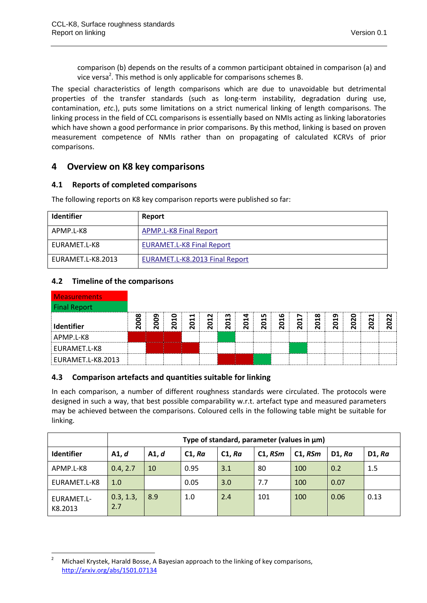comparison (b) depends on the results of a common participant obtained in comparison (a) and vice versa<sup>2</sup>. This method is only applicable for comparisons schemes B.

The special characteristics of length comparisons which are due to unavoidable but detrimental properties of the transfer standards (such as long-term instability, degradation during use, contamination, *etc*.), puts some limitations on a strict numerical linking of length comparisons. The linking process in the field of CCL comparisons is essentially based on NMIs acting as linking laboratories which have shown a good performance in prior comparisons. By this method, linking is based on proven measurement competence of NMIs rather than on propagating of calculated KCRVs of prior comparisons.

#### <span id="page-3-0"></span>**4 Overview on K8 key comparisons**

#### <span id="page-3-1"></span>**4.1 Reports of completed comparisons**

The following reports on K8 key comparison reports were published so far:

| <b>Identifier</b> | Report                           |
|-------------------|----------------------------------|
| APMP.L-K8         | <b>APMP.L-K8 Final Report</b>    |
| EURAMET.L-K8      | <b>EURAMET.L-K8 Final Report</b> |
| EURAMET.L-K8.2013 | EURAMET.L-K8.2013 Final Report   |

#### <span id="page-3-2"></span>**4.2 Timeline of the comparisons**

| <b>Measurements</b> |      |      |      |          |          |          |      |           |      |          |      |      |               |                                                     |                                              |
|---------------------|------|------|------|----------|----------|----------|------|-----------|------|----------|------|------|---------------|-----------------------------------------------------|----------------------------------------------|
| <b>Final Report</b> |      |      |      |          |          |          |      |           |      |          |      |      |               |                                                     |                                              |
| Identifier          | 2008 | 2009 | 2010 | Н<br>201 | N<br>201 | m<br>201 | 2014 | n,<br>201 | 2016 | N<br>201 | 2018 | 2019 | 020<br>$\sim$ | ⊣<br>$\ddot{\mathbf{S}}$<br>$\overline{\mathsf{N}}$ | $\sim$<br>$\mathbf{S}$<br>$\mathbf{\bar{N}}$ |
| APMP.L-K8           |      |      |      |          |          |          |      |           |      |          |      |      |               |                                                     |                                              |
| EURAMET.L-K8        |      |      |      |          |          |          |      |           |      |          |      |      |               |                                                     |                                              |
| EURAMET.L-K8.2013   |      |      |      |          |          |          |      |           |      |          |      |      |               |                                                     |                                              |

#### <span id="page-3-3"></span>**4.3 Comparison artefacts and quantities suitable for linking**

In each comparison, a number of different roughness standards were circulated. The protocols were designed in such a way, that best possible comparability w.r.t. artefact type and measured parameters may be achieved between the comparisons. Coloured cells in the following table might be suitable for linking.

|                       | Type of standard, parameter (values in µm) |       |        |        |         |         |        |        |  |
|-----------------------|--------------------------------------------|-------|--------|--------|---------|---------|--------|--------|--|
| <b>Identifier</b>     | A1, d                                      | A1. d | C1, Ra | C1, Ra | C1, RSm | C1, RSm | D1. Ra | D1, Ra |  |
| APMP.L-K8             | 0.4, 2.7                                   | 10    | 0.95   | 3.1    | 80      | 100     | 0.2    | 1.5    |  |
| EURAMET.L-K8          | 1.0                                        |       | 0.05   | 3.0    | 7.7     | 100     | 0.07   |        |  |
| EURAMET.L-<br>K8.2013 | 0.3, 1.3,<br>2.7                           | 8.9   | 1.0    | 2.4    | 101     | 100     | 0.06   | 0.13   |  |

**<sup>.</sup>** <sup>2</sup> Michael Krystek, Harald Bosse, A Bayesian approach to the linking of key comparisons, <http://arxiv.org/abs/1501.07134>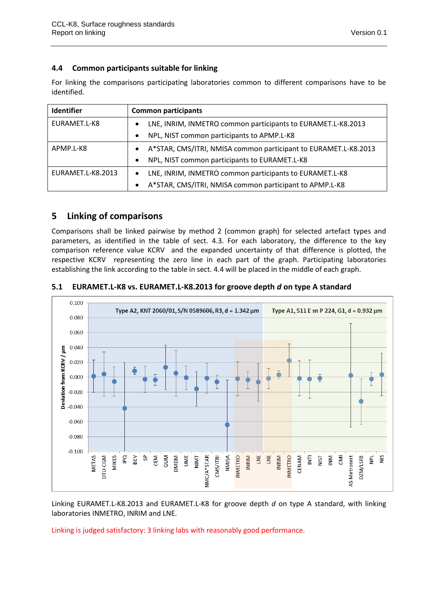#### <span id="page-4-0"></span>**4.4 Common participants suitable for linking**

For linking the comparisons participating laboratories common to different comparisons have to be identified.

| <b>Identifier</b> | <b>Common participants</b>                                                   |  |  |  |  |  |  |
|-------------------|------------------------------------------------------------------------------|--|--|--|--|--|--|
| EURAMET.L-K8      | LNE, INRIM, INMETRO common participants to EURAMET.L-K8.2013<br>$\bullet$    |  |  |  |  |  |  |
|                   | NPL, NIST common participants to APMP.L-K8<br>$\bullet$                      |  |  |  |  |  |  |
| APMP.L-K8         | A*STAR, CMS/ITRI, NMISA common participant to EURAMET.L-K8.2013<br>$\bullet$ |  |  |  |  |  |  |
|                   | NPL, NIST common participants to EURAMET.L-K8<br>$\bullet$                   |  |  |  |  |  |  |
| EURAMET.L-K8.2013 | LNE, INRIM, INMETRO common participants to EURAMET.L-K8<br>$\bullet$         |  |  |  |  |  |  |
|                   | A*STAR, CMS/ITRI, NMISA common participant to APMP.L-K8<br>$\bullet$         |  |  |  |  |  |  |

#### <span id="page-4-1"></span>**5 Linking of comparisons**

Comparisons shall be linked pairwise by method 2 (common graph) for selected artefact types and parameters, as identified in the table of sect. [4.3.](#page-3-3) For each laboratory, the difference to the key comparison reference value KCRV and the expanded uncertainty of that difference is plotted, the respective KCRV representing the zero line in each part of the graph. Participating laboratories establishing the link according to the table in sect. [4.4](#page-4-0) will be placed in the middle of each graph.

#### $0.100$ Type A2, KNT 2060/01, S/N 0589606, R3, d = 1.342 μm Type A1, 511 E sn P 224, G1, d = 0.932 μm 0.080 0.060  $-0.060$  $-0.080$  $-0.100$ **MIKES INMETRO** DTU-CGM **GUM** NIMT NMISA **INRIM**  $\frac{5}{2}$ METAS PQ **NOMD UME** NMC/A\*STAR  $\bar{\bar{\epsilon}}$  $\overline{P}$ L ΡŅ CEM CMS/ITRI Ĕ  $\overline{M}$ INRIM **INMETRO** CENAM 들  $\sum_{i=1}^{n}$ AS Metrosert DZM/LSFB <u>isi</u>

#### <span id="page-4-2"></span>**5.1 EURAMET.L-K8 vs. EURAMET.L-K8.2013 for groove depth** *d* **on type A standard**

Linking EURAMET.L-K8.2013 and EURAMET.L-K8 for groove depth *d* on type A standard, with linking laboratories INMETRO, INRIM and LNE.

Linking is judged satisfactory: 3 linking labs with reasonably good performance.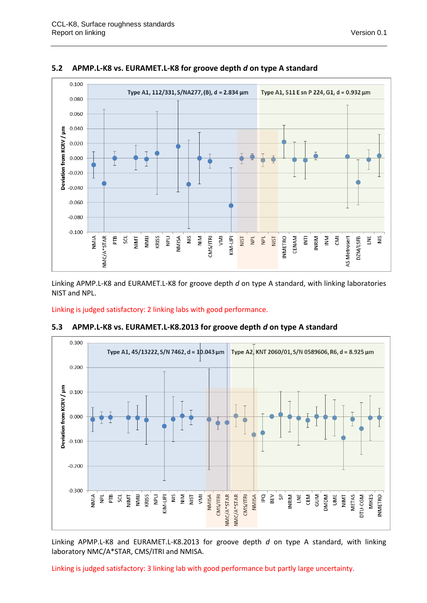

#### <span id="page-5-0"></span>**5.2 APMP.L-K8 vs. EURAMET.L-K8 for groove depth** *d* **on type A standard**

Linking APMP.L-K8 and EURAMET.L-K8 for groove depth *d* on type A standard, with linking laboratories NIST and NPL.

Linking is judged satisfactory: 2 linking labs with good performance.



#### <span id="page-5-1"></span>**5.3 APMP.L-K8 vs. EURAMET.L-K8.2013 for groove depth** *d* **on type A standard**

Linking APMP.L-K8 and EURAMET.L-K8.2013 for groove depth *d* on type A standard, with linking laboratory NMC/A\*STAR, CMS/ITRI and NMISA.

Linking is judged satisfactory: 3 linking lab with good performance but partly large uncertainty.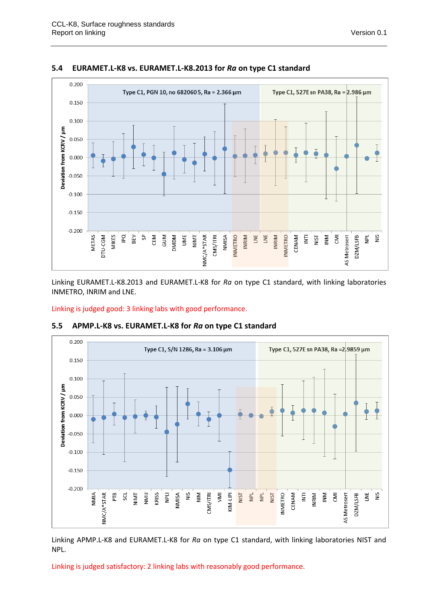

#### <span id="page-6-0"></span>**5.4 EURAMET.L-K8 vs. EURAMET.L-K8.2013 for** *Ra* **on type C1 standard**

Linking EURAMET.L-K8.2013 and EURAMET.L-K8 for *Ra* on type C1 standard, with linking laboratories INMETRO, INRIM and LNE.

Linking is judged good: 3 linking labs with good performance.



#### <span id="page-6-1"></span>**5.5 APMP.L-K8 vs. EURAMET.L-K8 for** *Ra* **on type C1 standard**

Linking APMP.L-K8 and EURAMET.L-K8 for *Ra* on type C1 standard, with linking laboratories NIST and NPL.

Linking is judged satisfactory: 2 linking labs with reasonably good performance.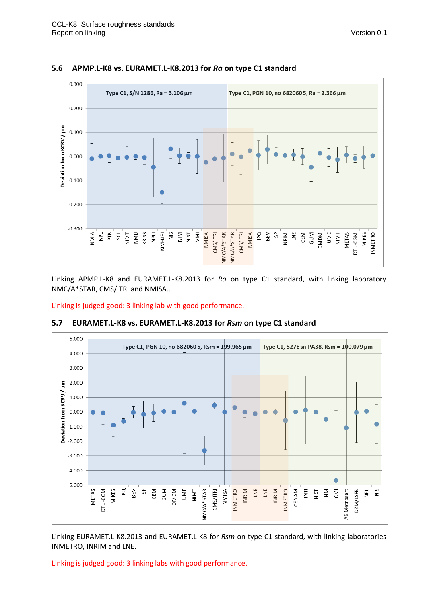

#### <span id="page-7-0"></span>**5.6 APMP.L-K8 vs. EURAMET.L-K8.2013 for** *Ra* **on type C1 standard**

Linking APMP.L-K8 and EURAMET.L-K8.2013 for *Ra* on type C1 standard, with linking laboratory NMC/A\*STAR, CMS/ITRI and NMISA..

Linking is judged good: 3 linking lab with good performance.



#### <span id="page-7-1"></span>**5.7 EURAMET.L-K8 vs. EURAMET.L-K8.2013 for** *Rsm* **on type C1 standard**

Linking EURAMET.L-K8.2013 and EURAMET.L-K8 for *Rsm* on type C1 standard, with linking laboratories INMETRO, INRIM and LNE.

Linking is judged good: 3 linking labs with good performance.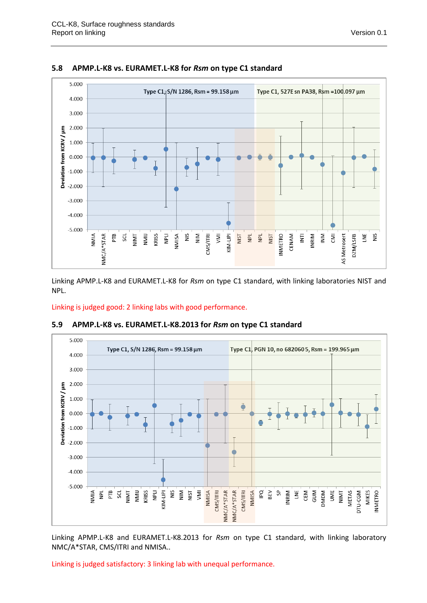

#### <span id="page-8-0"></span>**5.8 APMP.L-K8 vs. EURAMET.L-K8 for** *Rsm* **on type C1 standard**

Linking APMP.L-K8 and EURAMET.L-K8 for *Rsm* on type C1 standard, with linking laboratories NIST and NPL.

Linking is judged good: 2 linking labs with good performance.



#### <span id="page-8-1"></span>**5.9 APMP.L-K8 vs. EURAMET.L-K8.2013 for** *Rsm* **on type C1 standard**

Linking APMP.L-K8 and EURAMET.L-K8.2013 for *Rsm* on type C1 standard, with linking laboratory NMC/A\*STAR, CMS/ITRI and NMISA..

Linking is judged satisfactory: 3 linking lab with unequal performance.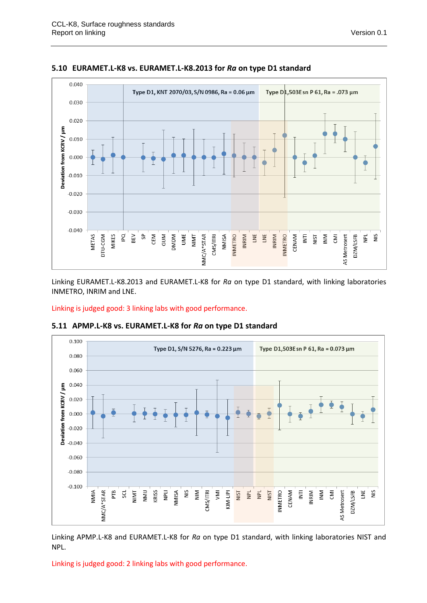

#### <span id="page-9-0"></span>**5.10 EURAMET.L-K8 vs. EURAMET.L-K8.2013 for** *Ra* **on type D1 standard**

Linking EURAMET.L-K8.2013 and EURAMET.L-K8 for *Ra* on type D1 standard, with linking laboratories INMETRO, INRIM and LNE.

Linking is judged good: 3 linking labs with good performance.



#### <span id="page-9-1"></span>**5.11 APMP.L-K8 vs. EURAMET.L-K8 for** *Ra* **on type D1 standard**

Linking APMP.L-K8 and EURAMET.L-K8 for *Ra* on type D1 standard, with linking laboratories NIST and NPL.

Linking is judged good: 2 linking labs with good performance.